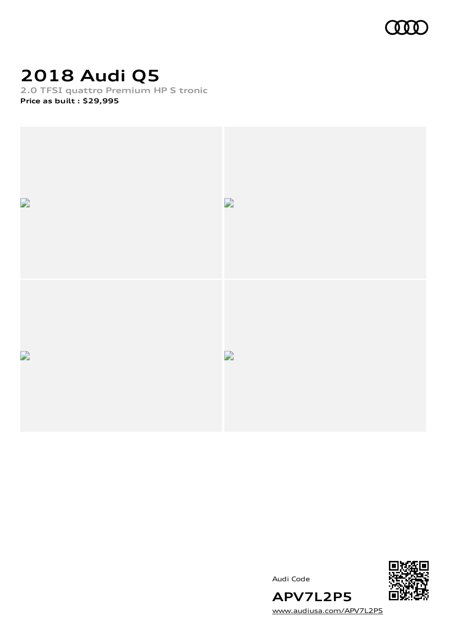

## **2018 Audi Q5**

**2.0 TFSI quattro Premium HP S tronic**

**Price as built [:](#page-11-0) \$29,995**



Audi Code



[www.audiusa.com/APV7L2P5](https://www.audiusa.com/APV7L2P5)

**APV7L2P5**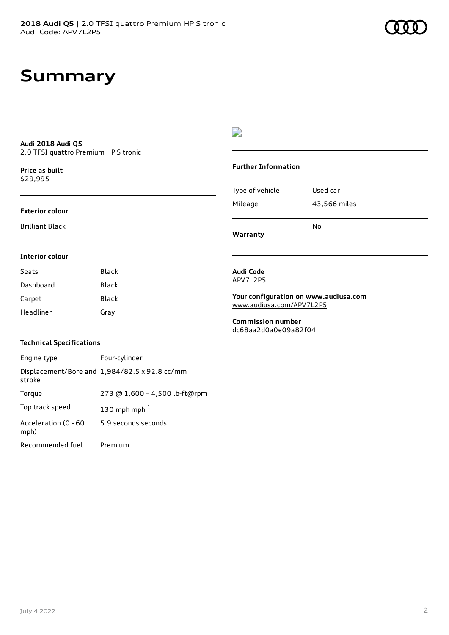#### **Audi 2018 Audi Q5** 2.0 TFSI quattro Premium HP S tronic

**Price as buil[t](#page-11-0)** \$29,995

#### **Exterior colour**

Brilliant Black

### $\overline{\phantom{a}}$

#### **Further Information**

|                 | N٥           |
|-----------------|--------------|
| Mileage         | 43,566 miles |
| Type of vehicle | Used car     |

**Warranty**

### **Interior colour**

| Seats     | <b>Black</b> |
|-----------|--------------|
| Dashboard | Black        |
| Carpet    | Black        |
| Headliner | Gray         |

#### **Audi Code** APV7L2P5

**Your configuration on www.audiusa.com** [www.audiusa.com/APV7L2P5](https://www.audiusa.com/APV7L2P5)

**Commission number** dc68aa2d0a0e09a82f04

#### **Technical Specifications**

| Engine type                  | Four-cylinder                                 |
|------------------------------|-----------------------------------------------|
| stroke                       | Displacement/Bore and 1,984/82.5 x 92.8 cc/mm |
| Torque                       | 273 @ 1,600 - 4,500 lb-ft@rpm                 |
| Top track speed              | 130 mph mph $1$                               |
| Acceleration (0 - 60<br>mph) | 5.9 seconds seconds                           |
| Recommended fuel             | Premium                                       |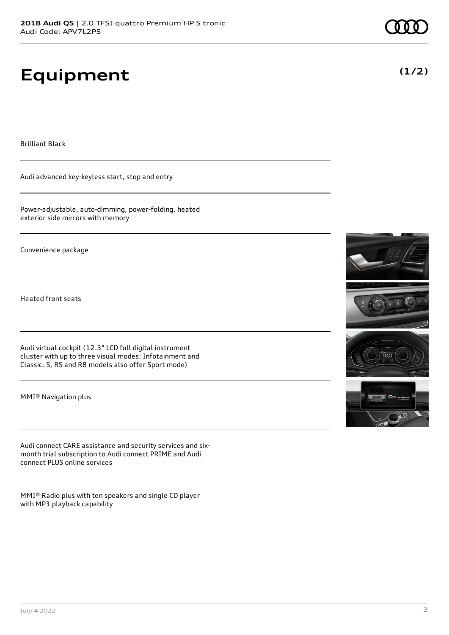# **Equipment**

Brilliant Black

Audi advanced key-keyless start, stop and entry

Power-adjustable, auto-dimming, power-folding, heated exterior side mirrors with memory

Convenience package

Heated front seats

Audi virtual cockpit (12.3" LCD full digital instrument cluster with up to three visual modes: Infotainment and Classic. S, RS and R8 models also offer Sport mode)

MMI® Navigation plus

Audi connect CARE assistance and security services and sixmonth trial subscription to Audi connect PRIME and Audi connect PLUS online services

MMI® Radio plus with ten speakers and single CD player with MP3 playback capability





### **(1/2)**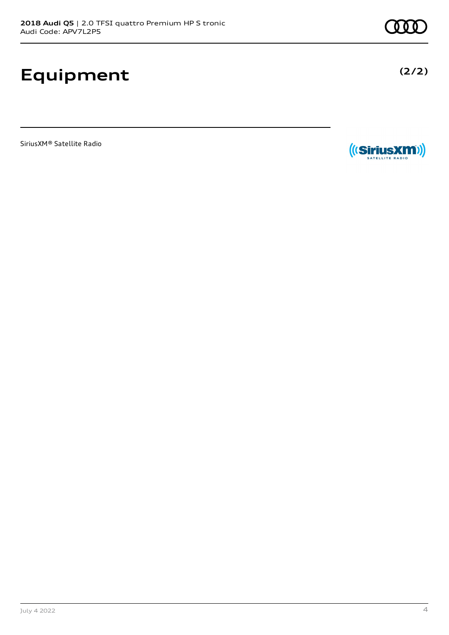## **Equipment**

SiriusXM® Satellite Radio



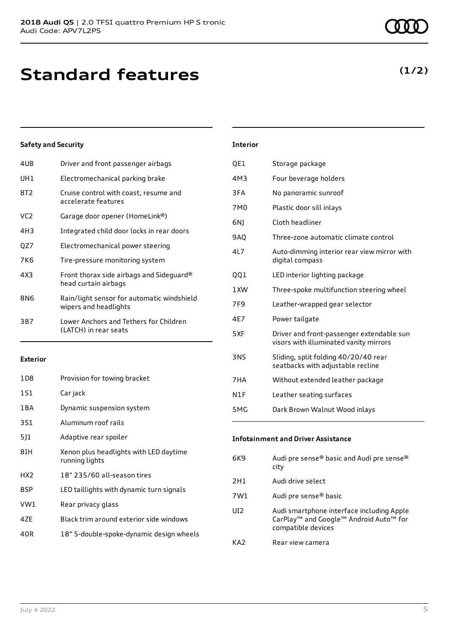### **Standard features**

### **Safety and Security**

| 4UB             | Driver and front passenger airbags                                  |
|-----------------|---------------------------------------------------------------------|
| UH1             | Electromechanical parking brake                                     |
| 8T2             | Cruise control with coast, resume and<br>accelerate features        |
| VC <sub>2</sub> | Garage door opener (HomeLink®)                                      |
| 4H3             | Integrated child door locks in rear doors                           |
| QZ7             | Electromechanical power steering                                    |
| 7K6             | Tire-pressure monitoring system                                     |
| 4X3             | Front thorax side airbags and Sideguard®<br>head curtain airbags    |
| 8N6             | Rain/light sensor for automatic windshield<br>wipers and headlights |
| 3B7             | Lower Anchors and Tethers for Children<br>(LATCH) in rear seats     |
|                 |                                                                     |

### **Exterior**

| 1D8   | Provision for towing bracket                             |
|-------|----------------------------------------------------------|
| 1S1   | Car jack                                                 |
| 1 B A | Dynamic suspension system                                |
| 3S1   | Aluminum roof rails                                      |
| 511   | Adaptive rear spoiler                                    |
| 8TH   | Xenon plus headlights with LED daytime<br>running lights |
| HX2   | 18" 235/60 all-season tires                              |
| 8SP   | LED taillights with dynamic turn signals                 |
| VW1   | Rear privacy glass                                       |
| 47F   | Black trim around exterior side windows                  |
| 40R   | 18" 5-double-spoke-dynamic design wheels                 |
|       |                                                          |

| <b>Interior</b> |                                                                                     |
|-----------------|-------------------------------------------------------------------------------------|
| QE1             | Storage package                                                                     |
| 4M3             | Four beverage holders                                                               |
| 3FA             | No panoramic sunroof                                                                |
| 7M <sub>0</sub> | Plastic door sill inlays                                                            |
| 6N)             | Cloth headliner                                                                     |
| 9AQ             | Three-zone automatic climate control                                                |
| 417             | Auto-dimming interior rear view mirror with<br>digital compass                      |
| QQ1             | LED interior lighting package                                                       |
| 1XW             | Three-spoke multifunction steering wheel                                            |
| 7F9             | Leather-wrapped gear selector                                                       |
| 4E7             | Power tailgate                                                                      |
| 5XF             | Driver and front-passenger extendable sun<br>visors with illuminated vanity mirrors |
| <b>3NS</b>      | Sliding, split folding 40/20/40 rear<br>seatbacks with adjustable recline           |
| 7HA             | Without extended leather package                                                    |
| N1F             | Leather seating surfaces                                                            |
| 5MG             | Dark Brown Walnut Wood inlays                                                       |

| 6K9 | Audi pre sense® basic and Audi pre sense®<br>city                                                                                             |
|-----|-----------------------------------------------------------------------------------------------------------------------------------------------|
| 2H1 | Audi drive select                                                                                                                             |
| 7W1 | Audi pre sense <sup>®</sup> basic                                                                                                             |
| UI2 | Audi smartphone interface including Apple<br>CarPlay <sup>™</sup> and Google <sup>™</sup> Android Auto <sup>™</sup> for<br>compatible devices |
| KA2 | Rear view camera                                                                                                                              |

**Infotainment and Driver Assistance**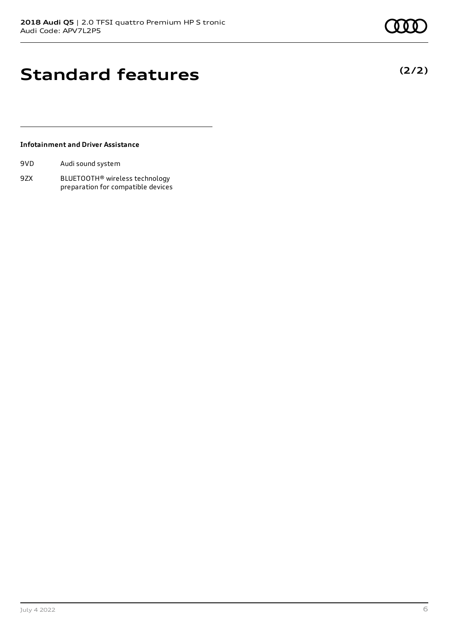**(2/2)**

### **Standard features**

### **Infotainment and Driver Assistance**

| 9VD | Audi sound system |
|-----|-------------------|
|-----|-------------------|

9ZX BLUETOOTH® wireless technology preparation for compatible devices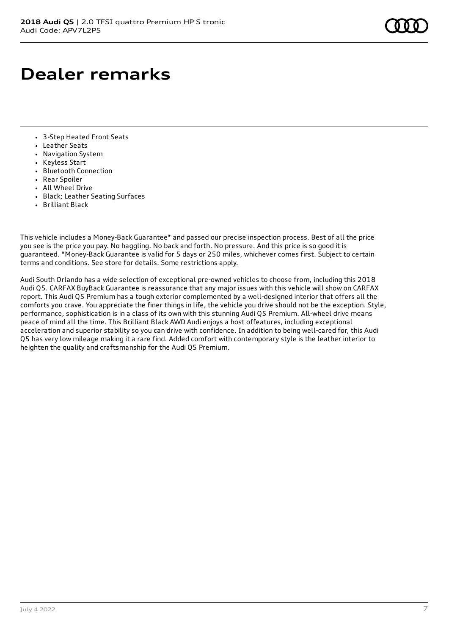### **Dealer remarks**

- 3-Step Heated Front Seats
- Leather Seats
- Navigation System
- Keyless Start
- Bluetooth Connection
- Rear Spoiler
- All Wheel Drive
- Black; Leather Seating Surfaces
- Brilliant Black

This vehicle includes a Money-Back Guarantee\* and passed our precise inspection process. Best of all the price you see is the price you pay. No haggling. No back and forth. No pressure. And this price is so good it is guaranteed. \*Money-Back Guarantee is valid for 5 days or 250 miles, whichever comes first. Subject to certain terms and conditions. See store for details. Some restrictions apply.

Audi South Orlando has a wide selection of exceptional pre-owned vehicles to choose from, including this 2018 Audi Q5. CARFAX BuyBack Guarantee is reassurance that any major issues with this vehicle will show on CARFAX report. This Audi Q5 Premium has a tough exterior complemented by a well-designed interior that offers all the comforts you crave. You appreciate the finer things in life, the vehicle you drive should not be the exception. Style, performance, sophistication is in a class of its own with this stunning Audi Q5 Premium. All-wheel drive means peace of mind all the time. This Brilliant Black AWD Audi enjoys a host offeatures, including exceptional acceleration and superior stability so you can drive with confidence. In addition to being well-cared for, this Audi Q5 has very low mileage making it a rare find. Added comfort with contemporary style is the leather interior to heighten the quality and craftsmanship for the Audi Q5 Premium.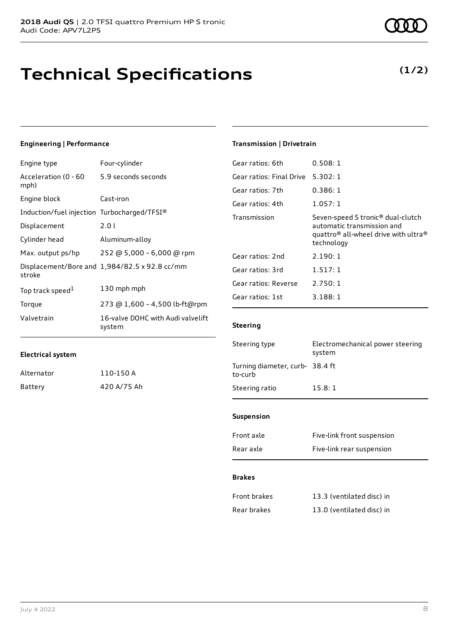### **Technical Specifications**

### **Engineering | Performance**

| Engine type                                 | Four-cylinder                                 |
|---------------------------------------------|-----------------------------------------------|
| Acceleration (0 - 60<br>mph)                | 5.9 seconds seconds                           |
| Engine block                                | Cast-iron                                     |
| Induction/fuel injection Turbocharged/TFSI® |                                               |
| Displacement                                | 2.01                                          |
| Cylinder head                               | Aluminum-alloy                                |
| Max. output ps/hp                           | 252 @ 5,000 - 6,000 @ rpm                     |
| stroke                                      | Displacement/Bore and 1,984/82.5 x 92.8 cc/mm |
| Top track speed <sup>1</sup>                | 130 mph mph                                   |
| Torque                                      | 273 @ 1,600 - 4,500 lb-ft@rpm                 |
| Valvetrain                                  | 16-valve DOHC with Audi valvelift<br>system   |

### **Transmission | Drivetrain**

| 0.508:1                                                                                                                                                   |
|-----------------------------------------------------------------------------------------------------------------------------------------------------------|
| 5.302:1                                                                                                                                                   |
| 0.386:1                                                                                                                                                   |
| 1.057:1                                                                                                                                                   |
| Seven-speed S tronic <sup>®</sup> dual-clutch<br>automatic transmission and<br>quattro <sup>®</sup> all-wheel drive with ultra <sup>®</sup><br>technology |
| 2.190:1                                                                                                                                                   |
| 1.517:1                                                                                                                                                   |
| 2.750:1                                                                                                                                                   |
| 3.188:1                                                                                                                                                   |
|                                                                                                                                                           |

### **Steering**

| Steering type                              | Electromechanical power steering<br>system |
|--------------------------------------------|--------------------------------------------|
| Turning diameter, curb- 38.4 ft<br>to-curb |                                            |
| Steering ratio                             | 15.8:1                                     |
|                                            |                                            |

### **Suspension**

| Front axle | Five-link front suspension |
|------------|----------------------------|
| Rear axle  | Five-link rear suspension  |

#### **Brakes**

| Front brakes | 13.3 (ventilated disc) in |
|--------------|---------------------------|
| Rear brakes  | 13.0 (ventilated disc) in |

Alternator 110-150 A Battery 420 A/75 Ah **(1/2)**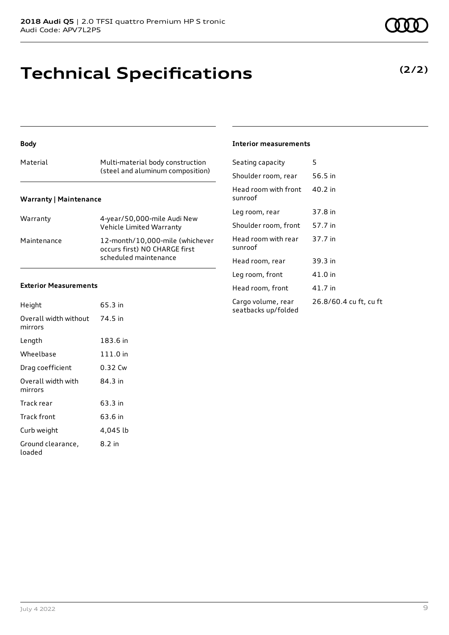### **Technical Specifications**

| Material                      | Multi-material body construction<br>(steel and aluminum composition)                      |  |
|-------------------------------|-------------------------------------------------------------------------------------------|--|
| <b>Warranty   Maintenance</b> |                                                                                           |  |
| Warranty                      | 4-year/50,000-mile Audi New<br>Vehicle Limited Warranty                                   |  |
| Maintenance                   | 12-month/10,000-mile (whichever<br>occurs first) NO CHARGE first<br>scheduled maintenance |  |

### **Exterior Measurements**

**Body**

| Height                           | 65.3 in  |
|----------------------------------|----------|
| Overall width without<br>mirrors | 74.5 in  |
| Length                           | 183.6 in |
| Wheelbase                        | 111.0 in |
| Drag coefficient                 | 0.32 Cw  |
| Overall width with<br>mirrors    | 84.3 in  |
| Track rear                       | 63.3 in  |
| Track front                      | 63.6 in  |
| Curb weight                      | 4,045 lb |
| Ground clearance,<br>loaded      | 8.2 in   |

#### **Interior measurements**

| Seating capacity                          | 5                      |
|-------------------------------------------|------------------------|
| Shoulder room, rear                       | 56.5 in                |
| Head room with front<br>sunroof           | $40.2$ in              |
| Leg room, rear                            | 37.8 in                |
| Shoulder room, front                      | 57.7 in                |
| Head room with rear<br>sunroof            | 37.7 in                |
| Head room, rear                           | 39.3 in                |
| Leg room, front                           | 41.0 in                |
| Head room, front                          | 41.7 in                |
| Cargo volume, rear<br>seatbacks up/folded | 26.8/60.4 cu ft, cu ft |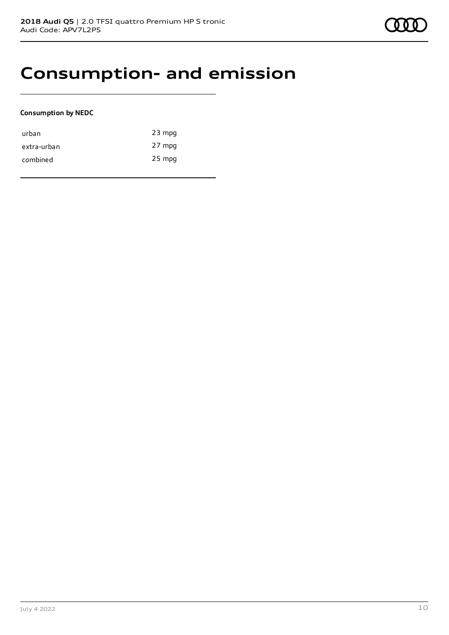### **Consumption- and emission**

### **Consumption by NEDC**

| urban       | $23$ mpg |
|-------------|----------|
| extra-urban | 27 mpg   |
| combined    | $25$ mpg |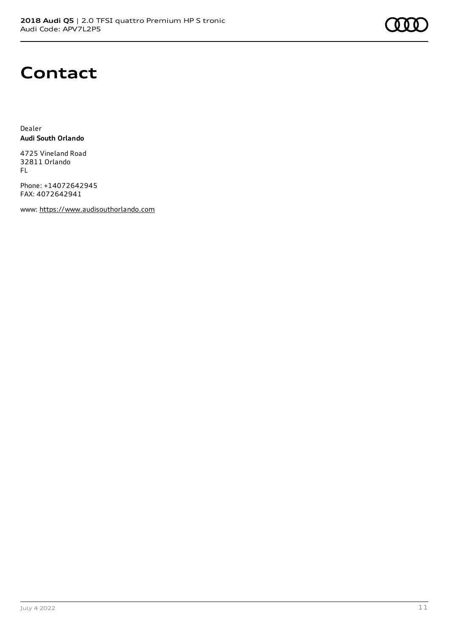

### **Contact**

Dealer **Audi South Orlando**

4725 Vineland Road 32811 Orlando FL

Phone: +14072642945 FAX: 4072642941

www: [https://www.audisouthorlando.com](https://www.audisouthorlando.com/)